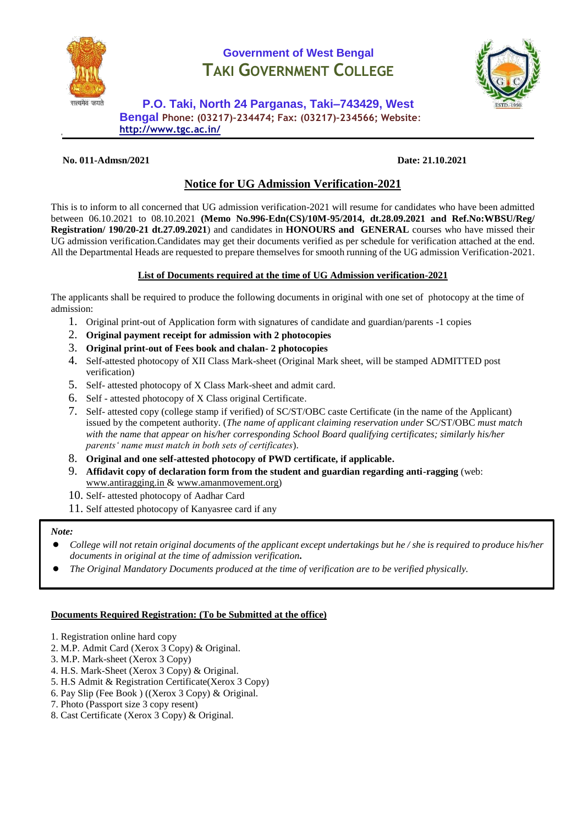

# **Government of West Bengal TAKI GOVERNMENT COLLEGE**



**P.O. Taki, North 24 Parganas, Taki–743429, West Bengal Phone: (03217)–234474; Fax: (03217)–234566; Website**: **<http://www.tgc.ac.in/>**

#### **No. 011-Admsn/2021 Date: 21.10.2021**

## **Notice for UG Admission Verification-2021**

This is to inform to all concerned that UG admission verification-2021 will resume for candidates who have been admitted between 06.10.2021 to 08.10.2021 **(Memo No.996-Edn(CS)/10M-95/2014, dt.28.09.2021 and Ref.No:WBSU/Reg/ Registration/ 190/20-21 dt.27.09.2021**) and candidates in **HONOURS and GENERAL** courses who have missed their UG admission verification.Candidates may get their documents verified as per schedule for verification attached at the end. All the Departmental Heads are requested to prepare themselves for smooth running of the UG admission Verification-2021.

#### **List of Documents required at the time of UG Admission verification-2021**

The applicants shall be required to produce the following documents in original with one set of photocopy at the time of admission:

- 1. Original print-out of Application form with signatures of candidate and guardian/parents -1 copies
- 2. **Original payment receipt for admission with 2 photocopies**
- 3. **Original print-out of Fees book and chalan- 2 photocopies**
- 4. Self-attested photocopy of XII Class Mark-sheet (Original Mark sheet, will be stamped ADMITTED post verification)
- 5. Self- attested photocopy of X Class Mark-sheet and admit card.
- 6. Self attested photocopy of X Class original Certificate.
- 7. Self- attested copy (college stamp if verified) of SC/ST/OBC caste Certificate (in the name of the Applicant) issued by the competent authority. (*The name of applicant claiming reservation under* SC/ST/OBC *must match with the name that appear on his/her corresponding School Board qualifying certificates; similarly his/her parents' name must match in both sets of certificates*).
- 8. **Original and one self-attested photocopy of PWD certificate, if applicable.**
- 9. **Affidavit copy of declaration form from the student and guardian regarding anti-ragging** (web: [www.antiragging.in](http://www.antiragging.in/) & [www.amanmovement.org\)](http://www.amanmovement.org/)
- 10. Self- attested photocopy of Aadhar Card
- 11. Self attested photocopy of Kanyasree card if any

#### *Note:*

- *College will not retain original documents of the applicant except undertakings but he / she is required to produce his/her documents in original at the time of admission verification.*
- *The Original Mandatory Documents produced at the time of verification are to be verified physically.*

#### **Documents Required Registration: (To be Submitted at the office)**

- 1. Registration online hard copy
- 2. M.P. Admit Card (Xerox 3 Copy) & Original.
- 3. M.P. Mark-sheet (Xerox 3 Copy)
- 4. H.S. Mark-Sheet (Xerox 3 Copy) & Original.
- 5. H.S Admit & Registration Certificate(Xerox 3 Copy)
- 6. Pay Slip (Fee Book ) ((Xerox 3 Copy) & Original.
- 7. Photo (Passport size 3 copy resent)
- 8. Cast Certificate (Xerox 3 Copy) & Original.